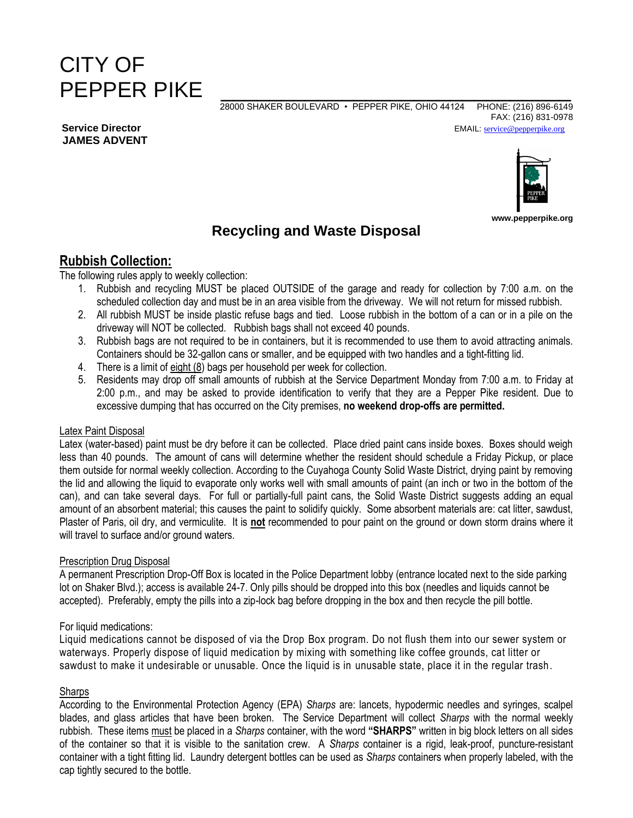# CITY OF PEPPER PIKE

 28000 SHAKER BOULEVARD • PEPPER PIKE, OHIO 44124 PHONE: (216) 896-6149 FAX: (216) 831-0978 **Service Director** EMAIL: **service Constanting Constanting Constanting Constanting Constanting Constanting Constanting Constanting Constanting Constanting Constanting Constanting Constanting Constanting Constanting Const** 



**www.pepperpike.org**

## **Recycling and Waste Disposal**

## **Rubbish Collection:**

The following rules apply to weekly collection:

- 1. Rubbish and recycling MUST be placed OUTSIDE of the garage and ready for collection by 7:00 a.m. on the scheduled collection day and must be in an area visible from the driveway. We will not return for missed rubbish.
- 2. All rubbish MUST be inside plastic refuse bags and tied. Loose rubbish in the bottom of a can or in a pile on the driveway will NOT be collected. Rubbish bags shall not exceed 40 pounds.
- 3. Rubbish bags are not required to be in containers, but it is recommended to use them to avoid attracting animals. Containers should be 32-gallon cans or smaller, and be equipped with two handles and a tight-fitting lid.
- 4. There is a limit of eight (8) bags per household per week for collection.
- 5. Residents may drop off small amounts of rubbish at the Service Department Monday from 7:00 a.m. to Friday at 2:00 p.m., and may be asked to provide identification to verify that they are a Pepper Pike resident. Due to excessive dumping that has occurred on the City premises, **no weekend drop-offs are permitted.**

#### Latex Paint Disposal

Latex (water-based) paint must be dry before it can be collected. Place dried paint cans inside boxes. Boxes should weigh less than 40 pounds. The amount of cans will determine whether the resident should schedule a Friday Pickup, or place them outside for normal weekly collection. According to the Cuyahoga County Solid Waste District, drying paint by removing the lid and allowing the liquid to evaporate only works well with small amounts of paint (an inch or two in the bottom of the can), and can take several days. For full or partially-full paint cans, the Solid Waste District suggests adding an equal amount of an absorbent material; this causes the paint to solidify quickly. Some absorbent materials are: cat litter, sawdust, Plaster of Paris, oil dry, and vermiculite. It is **not** recommended to pour paint on the ground or down storm drains where it will travel to surface and/or ground waters.

#### Prescription Drug Disposal

A permanent Prescription Drop-Off Box is located in the Police Department lobby (entrance located next to the side parking lot on Shaker Blvd.); access is available 24-7. Only pills should be dropped into this box (needles and liquids cannot be accepted). Preferably, empty the pills into a zip-lock bag before dropping in the box and then recycle the pill bottle.

#### For liquid medications:

Liquid medications cannot be disposed of via the Drop Box program. Do not flush them into our sewer system or waterways. Properly dispose of liquid medication by mixing with something like coffee grounds, cat litter or sawdust to make it undesirable or unusable. Once the liquid is in unusable state, place it in the regular trash.

#### **Sharps**

According to the Environmental Protection Agency (EPA) *Sharps* are: lancets, hypodermic needles and syringes, scalpel blades, and glass articles that have been broken. The Service Department will collect *Sharps* with the normal weekly rubbish. These items must be placed in a *Sharps* container, with the word **"SHARPS"** written in big block letters on all sides of the container so that it is visible to the sanitation crew. A *Sharps* container is a rigid, leak-proof, puncture-resistant container with a tight fitting lid. Laundry detergent bottles can be used as *Sharps* containers when properly labeled, with the cap tightly secured to the bottle.

**JAMES ADVENT**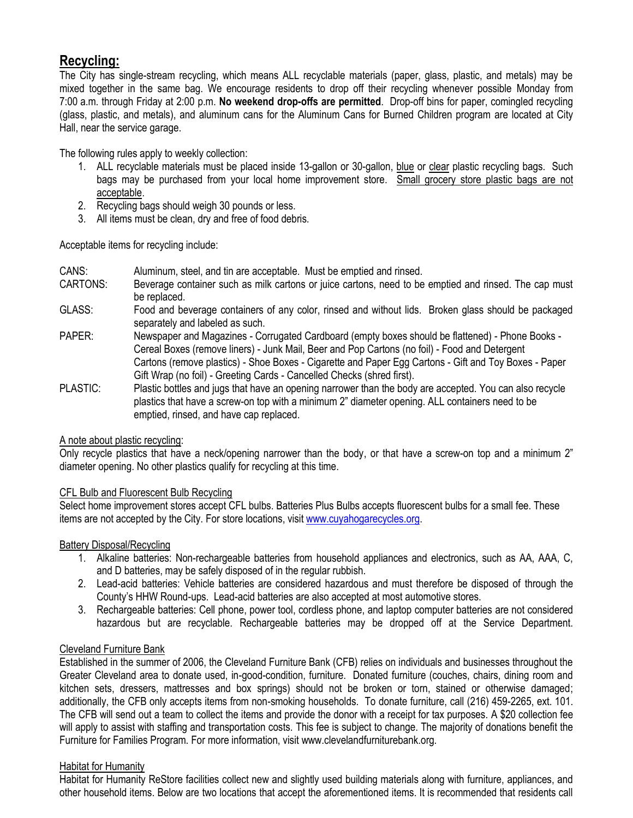## **Recycling:**

The City has single-stream recycling, which means ALL recyclable materials (paper, glass, plastic, and metals) may be mixed together in the same bag. We encourage residents to drop off their recycling whenever possible Monday from 7:00 a.m. through Friday at 2:00 p.m. **No weekend drop-offs are permitted**. Drop-off bins for paper, comingled recycling (glass, plastic, and metals), and aluminum cans for the Aluminum Cans for Burned Children program are located at City Hall, near the service garage.

The following rules apply to weekly collection:

- 1. ALL recyclable materials must be placed inside 13-gallon or 30-gallon, blue or clear plastic recycling bags. Such bags may be purchased from your local home improvement store. Small grocery store plastic bags are not acceptable.
- 2. Recycling bags should weigh 30 pounds or less.
- 3. All items must be clean, dry and free of food debris.

Acceptable items for recycling include:

- CANS: Aluminum, steel, and tin are acceptable. Must be emptied and rinsed.
- CARTONS: Beverage container such as milk cartons or juice cartons, need to be emptied and rinsed. The cap must be replaced.
- GLASS: Food and beverage containers of any color, rinsed and without lids. Broken glass should be packaged separately and labeled as such.
- PAPER: Newspaper and Magazines Corrugated Cardboard (empty boxes should be flattened) Phone Books Cereal Boxes (remove liners) - Junk Mail, Beer and Pop Cartons (no foil) - Food and Detergent Cartons (remove plastics) - Shoe Boxes - Cigarette and Paper Egg Cartons - Gift and Toy Boxes - Paper Gift Wrap (no foil) - Greeting Cards - Cancelled Checks (shred first).
- PLASTIC: Plastic bottles and jugs that have an opening narrower than the body are accepted. You can also recycle plastics that have a screw-on top with a minimum 2" diameter opening. ALL containers need to be emptied, rinsed, and have cap replaced.

#### A note about plastic recycling:

Only recycle plastics that have a neck/opening narrower than the body, or that have a screw-on top and a minimum 2" diameter opening. No other plastics qualify for recycling at this time.

#### CFL Bulb and Fluorescent Bulb Recycling

Select home improvement stores accept CFL bulbs. Batteries Plus Bulbs accepts fluorescent bulbs for a small fee. These items are not accepted by the City. For store locations, visit [www.cuyahogarecycles.org.](http://www.cuyahogarecycles.org/)

#### Battery Disposal/Recycling

- 1. Alkaline batteries: Non-rechargeable batteries from household appliances and electronics, such as AA, AAA, C, and D batteries, may be safely disposed of in the regular rubbish.
- 2. Lead-acid batteries: Vehicle batteries are considered hazardous and must therefore be disposed of through the County's HHW Round-ups. Lead-acid batteries are also accepted at most automotive stores.
- 3. Rechargeable batteries: Cell phone, power tool, cordless phone, and laptop computer batteries are not considered hazardous but are recyclable. Rechargeable batteries may be dropped off at the Service Department.

#### Cleveland Furniture Bank

Established in the summer of 2006, the Cleveland Furniture Bank (CFB) relies on individuals and businesses throughout the Greater Cleveland area to donate used, in-good-condition, furniture. Donated furniture (couches, chairs, dining room and kitchen sets, dressers, mattresses and box springs) should not be broken or torn, stained or otherwise damaged; additionally, the CFB only accepts items from non-smoking households. To donate furniture, call (216) 459-2265, ext. 101. The CFB will send out a team to collect the items and provide the donor with a receipt for tax purposes. A \$20 collection fee will apply to assist with staffing and transportation costs. This fee is subject to change. The majority of donations benefit the Furniture for Families Program. For more information, visit www.clevelandfurniturebank.org.

#### Habitat for Humanity

Habitat for Humanity ReStore facilities collect new and slightly used building materials along with furniture, appliances, and other household items. Below are two locations that accept the aforementioned items. It is recommended that residents call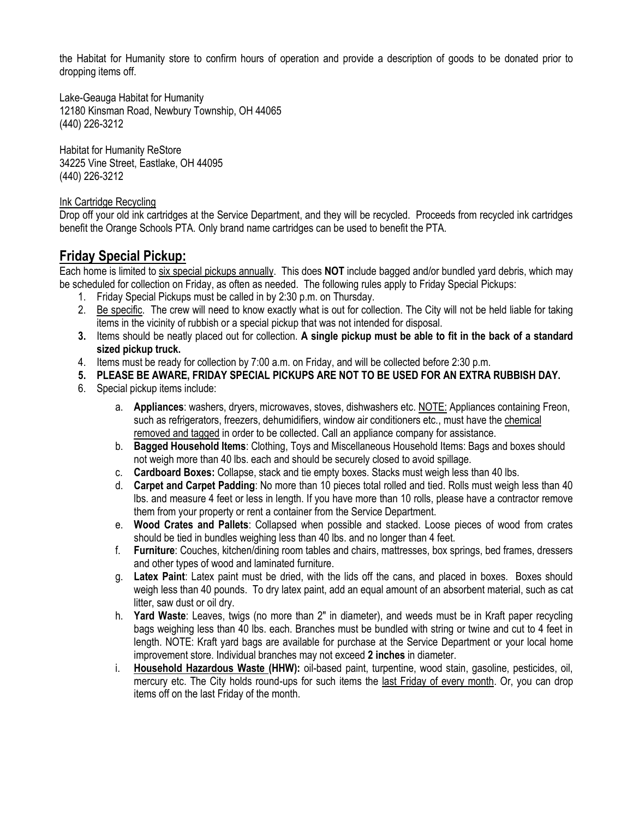the Habitat for Humanity store to confirm hours of operation and provide a description of goods to be donated prior to dropping items off.

Lake-Geauga Habitat for Humanity 12180 Kinsman Road, Newbury Township, OH 44065 (440) 226-3212

Habitat for Humanity ReStore 34225 Vine Street, Eastlake, OH 44095 (440) 226-3212

#### Ink Cartridge Recycling

Drop off your old ink cartridges at the Service Department, and they will be recycled. Proceeds from recycled ink cartridges benefit the Orange Schools PTA. Only brand name cartridges can be used to benefit the PTA.

#### **Friday Special Pickup:**

Each home is limited to six special pickups annually. This does **NOT** include bagged and/or bundled yard debris, which may be scheduled for collection on Friday, as often as needed. The following rules apply to Friday Special Pickups:

- 1. Friday Special Pickups must be called in by 2:30 p.m. on Thursday.
- 2. Be specific. The crew will need to know exactly what is out for collection. The City will not be held liable for taking items in the vicinity of rubbish or a special pickup that was not intended for disposal.
- **3.** Items should be neatly placed out for collection. **A single pickup must be able to fit in the back of a standard sized pickup truck.**
- 4. Items must be ready for collection by 7:00 a.m. on Friday, and will be collected before 2:30 p.m.
- **5. PLEASE BE AWARE, FRIDAY SPECIAL PICKUPS ARE NOT TO BE USED FOR AN EXTRA RUBBISH DAY.**
- 6. Special pickup items include:
	- a. **Appliances**: washers, dryers, microwaves, stoves, dishwashers etc. NOTE: Appliances containing Freon, such as refrigerators, freezers, dehumidifiers, window air conditioners etc., must have the chemical removed and tagged in order to be collected. Call an appliance company for assistance.
	- b. **Bagged Household Items**: Clothing, Toys and Miscellaneous Household Items: Bags and boxes should not weigh more than 40 lbs. each and should be securely closed to avoid spillage.
	- c. **Cardboard Boxes:** Collapse, stack and tie empty boxes. Stacks must weigh less than 40 lbs.
	- d. **Carpet and Carpet Padding**: No more than 10 pieces total rolled and tied. Rolls must weigh less than 40 lbs. and measure 4 feet or less in length. If you have more than 10 rolls, please have a contractor remove them from your property or rent a container from the Service Department.
	- e. **Wood Crates and Pallets**: Collapsed when possible and stacked. Loose pieces of wood from crates should be tied in bundles weighing less than 40 lbs. and no longer than 4 feet.
	- f. **Furniture**: Couches, kitchen/dining room tables and chairs, mattresses, box springs, bed frames, dressers and other types of wood and laminated furniture.
	- g. **Latex Paint**: Latex paint must be dried, with the lids off the cans, and placed in boxes. Boxes should weigh less than 40 pounds. To dry latex paint, add an equal amount of an absorbent material, such as cat litter, saw dust or oil dry.
	- h. **Yard Waste**: Leaves, twigs (no more than 2" in diameter), and weeds must be in Kraft paper recycling bags weighing less than 40 lbs. each. Branches must be bundled with string or twine and cut to 4 feet in length. NOTE: Kraft yard bags are available for purchase at the Service Department or your local home improvement store. Individual branches may not exceed **2 inches** in diameter.
	- i. **Household Hazardous Waste (HHW):** oil-based paint, turpentine, wood stain, gasoline, pesticides, oil, mercury etc. The City holds round-ups for such items the last Friday of every month. Or, you can drop items off on the last Friday of the month.